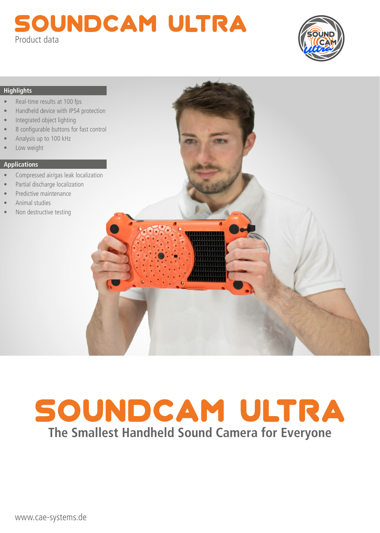## SOUNDCAM ULTRA Product data



## **Highlights**

- Real-time results at 100 fps
- Handheld device with IP54 protection
- Integrated object lighting
- 8 configurable buttons for fast control
- Analysis up to 100 kHz
- Low weight

## **Applications**

- Compressed air/gas leak localization
- Partial discharge localization
- Predictive maintenance
- Animal studies
- Non destructive testing